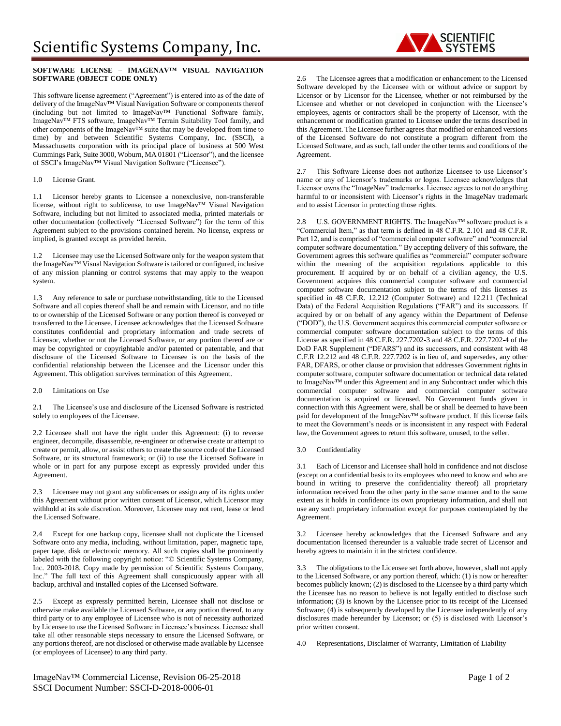# **SOFTWARE LICENSE – IMAGENAV™ VISUAL NAVIGATION SOFTWARE (OBJECT CODE ONLY)**

This software license agreement ("Agreement") is entered into as of the date of delivery of the ImageNav™ Visual Navigation Software or components thereof (including but not limited to ImageNav™ Functional Software family, ImageNav™ FTS software, ImageNav™ Terrain Suitability Tool family, and other components of the ImageNav™ suite that may be developed from time to time) by and between Scientific Systems Company, Inc. (SSCI), a Massachusetts corporation with its principal place of business at 500 West Cummings Park, Suite 3000, Woburn, MA 01801 ("Licensor"), and the licensee of SSCI's ImageNav™ Visual Navigation Software ("Licensee").

# 1.0 License Grant.

1.1 Licensor hereby grants to Licensee a nonexclusive, non-transferable license, without right to sublicense, to use ImageNav™ Visual Navigation Software, including but not limited to associated media, printed materials or other documentation (collectively "Licensed Software") for the term of this Agreement subject to the provisions contained herein. No license, express or implied, is granted except as provided herein.

1.2 Licensee may use the Licensed Software only for the weapon system that the ImageNav™ Visual Navigation Software is tailored or configured, inclusive of any mission planning or control systems that may apply to the weapon system.

1.3 Any reference to sale or purchase notwithstanding, title to the Licensed Software and all copies thereof shall be and remain with Licensor, and no title to or ownership of the Licensed Software or any portion thereof is conveyed or transferred to the Licensee. Licensee acknowledges that the Licensed Software constitutes confidential and proprietary information and trade secrets of Licensor, whether or not the Licensed Software, or any portion thereof are or may be copyrighted or copyrightable and/or patented or patentable, and that disclosure of the Licensed Software to Licensee is on the basis of the confidential relationship between the Licensee and the Licensor under this Agreement. This obligation survives termination of this Agreement.

2.0 Limitations on Use

2.1 The Licensee's use and disclosure of the Licensed Software is restricted solely to employees of the Licensee.

2.2 Licensee shall not have the right under this Agreement: (i) to reverse engineer, decompile, disassemble, re-engineer or otherwise create or attempt to create or permit, allow, or assist others to create the source code of the Licensed Software, or its structural framework; or (ii) to use the Licensed Software in whole or in part for any purpose except as expressly provided under this Agreement.

2.3 Licensee may not grant any sublicenses or assign any of its rights under this Agreement without prior written consent of Licensor, which Licensor may withhold at its sole discretion. Moreover, Licensee may not rent, lease or lend the Licensed Software.

2.4 Except for one backup copy, licensee shall not duplicate the Licensed Software onto any media, including, without limitation, paper, magnetic tape, paper tape, disk or electronic memory. All such copies shall be prominently labeled with the following copyright notice: "© Scientific Systems Company, Inc. 2003-2018. Copy made by permission of Scientific Systems Company, Inc." The full text of this Agreement shall conspicuously appear with all backup, archival and installed copies of the Licensed Software.

2.5 Except as expressly permitted herein, Licensee shall not disclose or otherwise make available the Licensed Software, or any portion thereof, to any third party or to any employee of Licensee who is not of necessity authorized by Licensee to use the Licensed Software in Licensee's business. Licensee shall take all other reasonable steps necessary to ensure the Licensed Software, or any portions thereof, are not disclosed or otherwise made available by Licensee (or employees of Licensee) to any third party.

ImageNav™ Commercial License, Revision 06-25-2018 Page 1 of 2 SSCI Document Number: SSCI-D-2018-0006-01

2.6 The Licensee agrees that a modification or enhancement to the Licensed Software developed by the Licensee with or without advice or support by Licensor or by Licensor for the Licensee, whether or not reimbursed by the Licensee and whether or not developed in conjunction with the Licensee's employees, agents or contractors shall be the property of Licensor, with the enhancement or modification granted to Licensee under the terms described in this Agreement. The Licensee further agrees that modified or enhanced versions of the Licensed Software do not constitute a program different from the Licensed Software, and as such, fall under the other terms and conditions of the Agreement.

2.7 This Software License does not authorize Licensee to use Licensor's name or any of Licensor's trademarks or logos. Licensee acknowledges that Licensor owns the "ImageNav" trademarks. Licensee agrees to not do anything harmful to or inconsistent with Licensor's rights in the ImageNav trademark and to assist Licensor in protecting those rights.

2.8 U.S. GOVERNMENT RIGHTS. The ImageNav™ software product is a "Commercial Item," as that term is defined in 48 C.F.R. 2.101 and 48 C.F.R. Part 12, and is comprised of "commercial computer software" and "commercial computer software documentation." By accepting delivery of this software, the Government agrees this software qualifies as "commercial" computer software within the meaning of the acquisition regulations applicable to this procurement. If acquired by or on behalf of a civilian agency, the U.S. Government acquires this commercial computer software and commercial computer software documentation subject to the terms of this licenses as specified in 48 C.F.R. 12.212 (Computer Software) and 12.211 (Technical Data) of the Federal Acquisition Regulations ("FAR") and its successors. If acquired by or on behalf of any agency within the Department of Defense ("DOD"), the U.S. Government acquires this commercial computer software or commercial computer software documentation subject to the terms of this License as specified in 48 C.F.R. 227.7202-3 and 48 C.F.R. 227.7202-4 of the DoD FAR Supplement ("DFARS") and its successors, and consistent with 48 C.F.R 12.212 and 48 C.F.R. 227.7202 is in lieu of, and supersedes, any other FAR, DFARS, or other clause or provision that addresses Government rights in computer software, computer software documentation or technical data related to ImageNav™ under this Agreement and in any Subcontract under which this commercial computer software and commercial computer software documentation is acquired or licensed. No Government funds given in connection with this Agreement were, shall be or shall be deemed to have been paid for development of the ImageNav™ software product. If this license fails to meet the Government's needs or is inconsistent in any respect with Federal law, the Government agrees to return this software, unused, to the seller.

3.0 Confidentiality

3.1 Each of Licensor and Licensee shall hold in confidence and not disclose (except on a confidential basis to its employees who need to know and who are bound in writing to preserve the confidentiality thereof) all proprietary information received from the other party in the same manner and to the same extent as it holds in confidence its own proprietary information, and shall not use any such proprietary information except for purposes contemplated by the Agreement.

3.2 Licensee hereby acknowledges that the Licensed Software and any documentation licensed thereunder is a valuable trade secret of Licensor and hereby agrees to maintain it in the strictest confidence.

3.3 The obligations to the Licensee set forth above, however, shall not apply to the Licensed Software, or any portion thereof, which: (1) is now or hereafter becomes publicly known; (2) is disclosed to the Licensee by a third party which the Licensee has no reason to believe is not legally entitled to disclose such information; (3) is known by the Licensee prior to its receipt of the Licensed Software; (4) is subsequently developed by the Licensee independently of any disclosures made hereunder by Licensor; or (5) is disclosed with Licensor's prior written consent.

4.0 Representations, Disclaimer of Warranty, Limitation of Liability